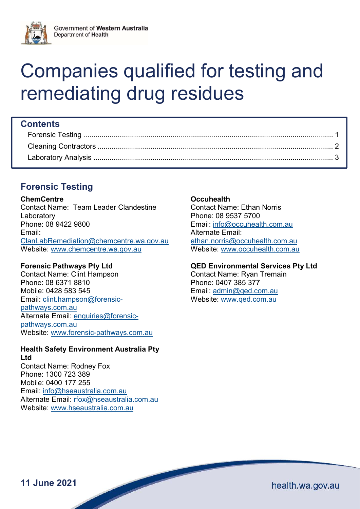

# Companies qualified for testing and remediating drug residues

# **Contents**

# Forensic Testing

#### **ChemCentre**

Contact Name: Team Leader Clandestine Laboratory Phone: 08 9422 9800 Email: ClanLabRemediation@chemcentre.wa.gov.au Website: www.chemcentre.wa.gov.au

# Forensic Pathways Pty Ltd

Contact Name: Clint Hampson Phone: 08 6371 8810 Mobile: 0428 583 545 Email: clint.hampson@forensicpathways.com.au Alternate Email: enquiries@forensicpathways.com.au Website: www.forensic-pathways.com.au

# Health Safety Environment Australia Pty Ltd

Contact Name: Rodney Fox Phone: 1300 723 389 Mobile: 0400 177 255 Email: info@hseaustralia.com.au Alternate Email: rfox@hseaustralia.com.au Website: www.hseaustralia.com.au

# **Occuhealth**

Contact Name: Ethan Norris Phone: 08 9537 5700 Email: info@occuhealth.com.au Alternate Email: ethan.norris@occuhealth.com.au Website: www.occuhealth.com.au

# QED Environmental Services Pty Ltd

Contact Name: Ryan Tremain Phone: 0407 385 377 Email: admin@qed.com.au Website: www.qed.com.au

11 June 2021

health.wa.gov.au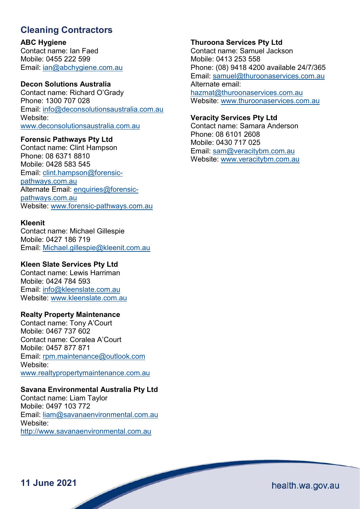# Cleaning Contractors

ABC Hygiene Contact name: Ian Faed

Mobile: 0455 222 599 Email: ian@abchygiene.com.au

#### Decon Solutions Australia

Contact name: Richard O'Grady Phone: 1300 707 028 Email: info@deconsolutionsaustralia.com.au Website: www.deconsolutionsaustralia.com.au

#### Forensic Pathways Pty Ltd

Contact name: Clint Hampson Phone: 08 6371 8810 Mobile: 0428 583 545 Email: clint.hampson@forensicpathways.com.au Alternate Email: enquiries@forensicpathways.com.au Website: www.forensic-pathways.com.au

#### Kleenit

Contact name: Michael Gillespie Mobile: 0427 186 719 Email: Michael.gillespie@kleenit.com.au

# Kleen Slate Services Pty Ltd

Contact name: Lewis Harriman Mobile: 0424 784 593 Email: info@kleenslate.com.au Website: www.kleenslate.com.au

#### Realty Property Maintenance

Contact name: Tony A'Court Mobile: 0467 737 602 Contact name: Coralea A'Court Mobile: 0457 877 871 Email: rpm.maintenance@outlook.com Website: www.realtypropertymaintenance.com.au

# Savana Environmental Australia Pty Ltd

Contact name: Liam Taylor Mobile: 0497 103 772 Email: liam@savanaenvironmental.com.au Website: http://www.savanaenvironmental.com.au

#### Thuroona Services Pty Ltd

Contact name: Samuel Jackson Mobile: 0413 253 558 Phone: (08) 9418 4200 available 24/7/365 Email: samuel@thuroonaservices.com.au Alternate email: hazmat@thuroonaservices.com.au Website: www.thuroonaservices.com.au

#### Veracity Services Pty Ltd

Contact name: Samara Anderson Phone: 08 6101 2608 Mobile: 0430 717 025 Email: sam@veracitybm.com.au Website: www.veracitybm.com.au

11 June 2021

health.wa.gov.au